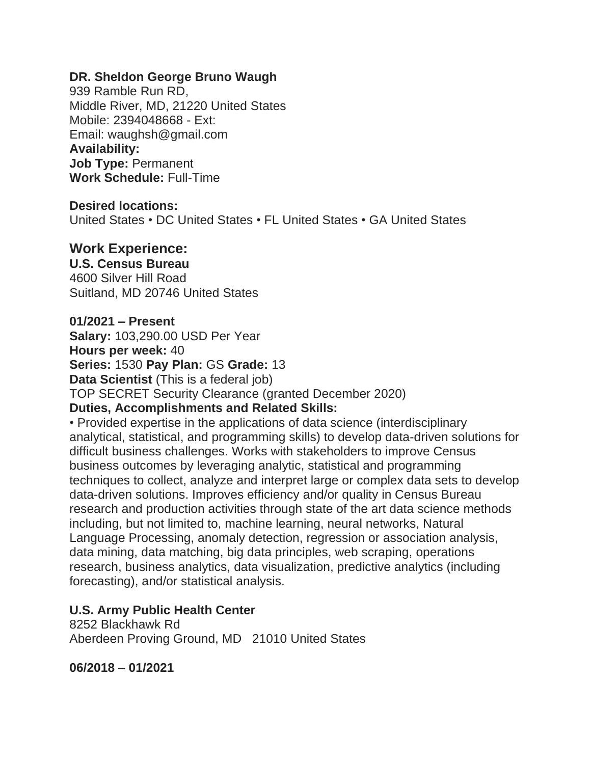### **DR. Sheldon George Bruno Waugh**

939 Ramble Run RD, Middle River, MD, 21220 United States Mobile: 2394048668 - Ext: Email: waughsh@gmail.com **Availability: Job Type:** Permanent **Work Schedule:** Full-Time

#### **Desired locations:**

United States • DC United States • FL United States • GA United States

### **Work Experience:**

#### **U.S. Census Bureau**

4600 Silver Hill Road Suitland, MD 20746 United States

#### **01/2021 – Present**

**Salary:** 103,290.00 USD Per Year

**Hours per week:** 40

**Series:** 1530 **Pay Plan:** GS **Grade:** 13

**Data Scientist** (This is a federal job)

TOP SECRET Security Clearance (granted December 2020)

#### **Duties, Accomplishments and Related Skills:**

• Provided expertise in the applications of data science (interdisciplinary analytical, statistical, and programming skills) to develop data-driven solutions for difficult business challenges. Works with stakeholders to improve Census business outcomes by leveraging analytic, statistical and programming techniques to collect, analyze and interpret large or complex data sets to develop data-driven solutions. Improves efficiency and/or quality in Census Bureau research and production activities through state of the art data science methods including, but not limited to, machine learning, neural networks, Natural Language Processing, anomaly detection, regression or association analysis, data mining, data matching, big data principles, web scraping, operations research, business analytics, data visualization, predictive analytics (including forecasting), and/or statistical analysis.

#### **U.S. Army Public Health Center**

8252 Blackhawk Rd Aberdeen Proving Ground, MD 21010 United States

**06/2018 – 01/2021**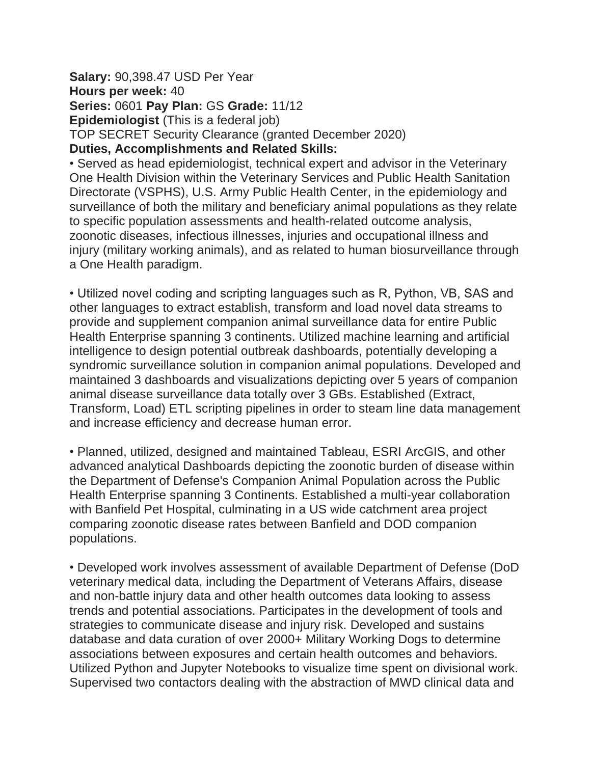**Salary:** 90,398.47 USD Per Year **Hours per week:** 40 **Series:** 0601 **Pay Plan:** GS **Grade:** 11/12 **Epidemiologist** (This is a federal job) TOP SECRET Security Clearance (granted December 2020) **Duties, Accomplishments and Related Skills:**

• Served as head epidemiologist, technical expert and advisor in the Veterinary One Health Division within the Veterinary Services and Public Health Sanitation Directorate (VSPHS), U.S. Army Public Health Center, in the epidemiology and surveillance of both the military and beneficiary animal populations as they relate to specific population assessments and health-related outcome analysis, zoonotic diseases, infectious illnesses, injuries and occupational illness and injury (military working animals), and as related to human biosurveillance through a One Health paradigm.

• Utilized novel coding and scripting languages such as R, Python, VB, SAS and other languages to extract establish, transform and load novel data streams to provide and supplement companion animal surveillance data for entire Public Health Enterprise spanning 3 continents. Utilized machine learning and artificial intelligence to design potential outbreak dashboards, potentially developing a syndromic surveillance solution in companion animal populations. Developed and maintained 3 dashboards and visualizations depicting over 5 years of companion animal disease surveillance data totally over 3 GBs. Established (Extract, Transform, Load) ETL scripting pipelines in order to steam line data management and increase efficiency and decrease human error.

• Planned, utilized, designed and maintained Tableau, ESRI ArcGIS, and other advanced analytical Dashboards depicting the zoonotic burden of disease within the Department of Defense's Companion Animal Population across the Public Health Enterprise spanning 3 Continents. Established a multi-year collaboration with Banfield Pet Hospital, culminating in a US wide catchment area project comparing zoonotic disease rates between Banfield and DOD companion populations.

• Developed work involves assessment of available Department of Defense (DoD veterinary medical data, including the Department of Veterans Affairs, disease and non-battle injury data and other health outcomes data looking to assess trends and potential associations. Participates in the development of tools and strategies to communicate disease and injury risk. Developed and sustains database and data curation of over 2000+ Military Working Dogs to determine associations between exposures and certain health outcomes and behaviors. Utilized Python and Jupyter Notebooks to visualize time spent on divisional work. Supervised two contactors dealing with the abstraction of MWD clinical data and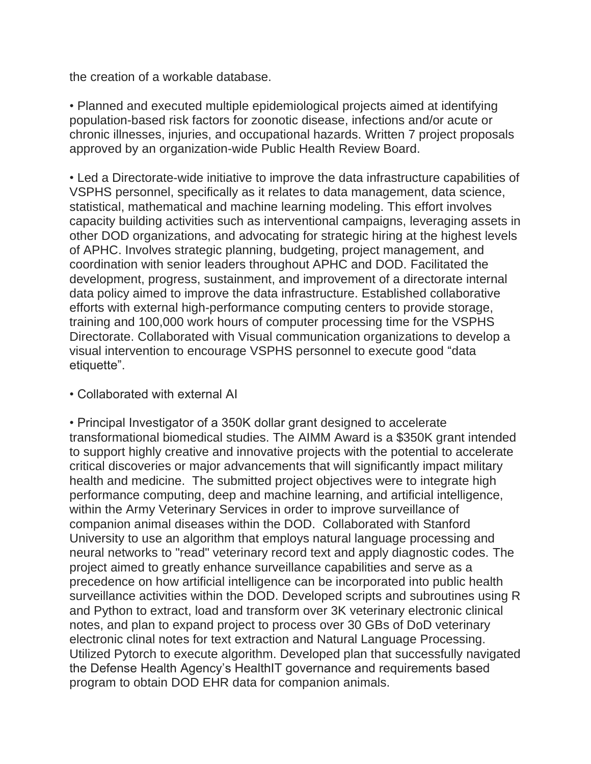the creation of a workable database.

• Planned and executed multiple epidemiological projects aimed at identifying population-based risk factors for zoonotic disease, infections and/or acute or chronic illnesses, injuries, and occupational hazards. Written 7 project proposals approved by an organization-wide Public Health Review Board.

• Led a Directorate-wide initiative to improve the data infrastructure capabilities of VSPHS personnel, specifically as it relates to data management, data science, statistical, mathematical and machine learning modeling. This effort involves capacity building activities such as interventional campaigns, leveraging assets in other DOD organizations, and advocating for strategic hiring at the highest levels of APHC. Involves strategic planning, budgeting, project management, and coordination with senior leaders throughout APHC and DOD. Facilitated the development, progress, sustainment, and improvement of a directorate internal data policy aimed to improve the data infrastructure. Established collaborative efforts with external high-performance computing centers to provide storage, training and 100,000 work hours of computer processing time for the VSPHS Directorate. Collaborated with Visual communication organizations to develop a visual intervention to encourage VSPHS personnel to execute good "data etiquette".

#### • Collaborated with external AI

• Principal Investigator of a 350K dollar grant designed to accelerate transformational biomedical studies. The AIMM Award is a \$350K grant intended to support highly creative and innovative projects with the potential to accelerate critical discoveries or major advancements that will significantly impact military health and medicine. The submitted project objectives were to integrate high performance computing, deep and machine learning, and artificial intelligence, within the Army Veterinary Services in order to improve surveillance of companion animal diseases within the DOD. Collaborated with Stanford University to use an algorithm that employs natural language processing and neural networks to "read" veterinary record text and apply diagnostic codes. The project aimed to greatly enhance surveillance capabilities and serve as a precedence on how artificial intelligence can be incorporated into public health surveillance activities within the DOD. Developed scripts and subroutines using R and Python to extract, load and transform over 3K veterinary electronic clinical notes, and plan to expand project to process over 30 GBs of DoD veterinary electronic clinal notes for text extraction and Natural Language Processing. Utilized Pytorch to execute algorithm. Developed plan that successfully navigated the Defense Health Agency's HealthIT governance and requirements based program to obtain DOD EHR data for companion animals.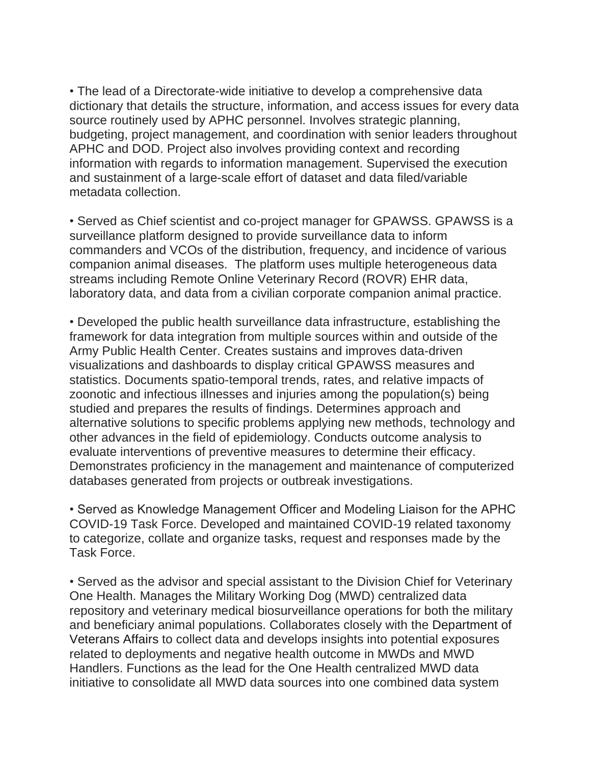• The lead of a Directorate-wide initiative to develop a comprehensive data dictionary that details the structure, information, and access issues for every data source routinely used by APHC personnel. Involves strategic planning, budgeting, project management, and coordination with senior leaders throughout APHC and DOD. Project also involves providing context and recording information with regards to information management. Supervised the execution and sustainment of a large-scale effort of dataset and data filed/variable metadata collection.

• Served as Chief scientist and co-project manager for GPAWSS. GPAWSS is a surveillance platform designed to provide surveillance data to inform commanders and VCOs of the distribution, frequency, and incidence of various companion animal diseases. The platform uses multiple heterogeneous data streams including Remote Online Veterinary Record (ROVR) EHR data, laboratory data, and data from a civilian corporate companion animal practice.

• Developed the public health surveillance data infrastructure, establishing the framework for data integration from multiple sources within and outside of the Army Public Health Center. Creates sustains and improves data-driven visualizations and dashboards to display critical GPAWSS measures and statistics. Documents spatio-temporal trends, rates, and relative impacts of zoonotic and infectious illnesses and injuries among the population(s) being studied and prepares the results of findings. Determines approach and alternative solutions to specific problems applying new methods, technology and other advances in the field of epidemiology. Conducts outcome analysis to evaluate interventions of preventive measures to determine their efficacy. Demonstrates proficiency in the management and maintenance of computerized databases generated from projects or outbreak investigations.

• Served as Knowledge Management Officer and Modeling Liaison for the APHC COVID-19 Task Force. Developed and maintained COVID-19 related taxonomy to categorize, collate and organize tasks, request and responses made by the Task Force.

• Served as the advisor and special assistant to the Division Chief for Veterinary One Health. Manages the Military Working Dog (MWD) centralized data repository and veterinary medical biosurveillance operations for both the military and beneficiary animal populations. Collaborates closely with the Department of Veterans Affairs to collect data and develops insights into potential exposures related to deployments and negative health outcome in MWDs and MWD Handlers. Functions as the lead for the One Health centralized MWD data initiative to consolidate all MWD data sources into one combined data system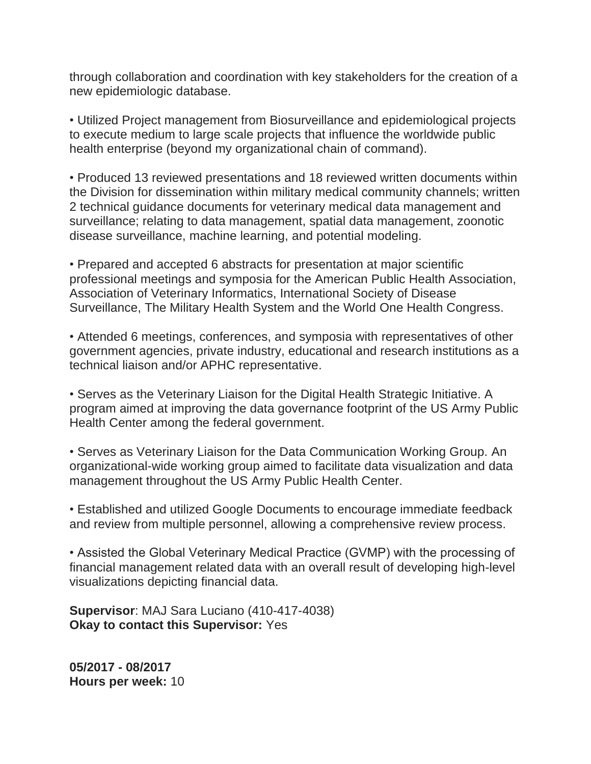through collaboration and coordination with key stakeholders for the creation of a new epidemiologic database.

• Utilized Project management from Biosurveillance and epidemiological projects to execute medium to large scale projects that influence the worldwide public health enterprise (beyond my organizational chain of command).

• Produced 13 reviewed presentations and 18 reviewed written documents within the Division for dissemination within military medical community channels; written 2 technical guidance documents for veterinary medical data management and surveillance; relating to data management, spatial data management, zoonotic disease surveillance, machine learning, and potential modeling.

• Prepared and accepted 6 abstracts for presentation at major scientific professional meetings and symposia for the American Public Health Association, Association of Veterinary Informatics, International Society of Disease Surveillance, The Military Health System and the World One Health Congress.

• Attended 6 meetings, conferences, and symposia with representatives of other government agencies, private industry, educational and research institutions as a technical liaison and/or APHC representative.

• Serves as the Veterinary Liaison for the Digital Health Strategic Initiative. A program aimed at improving the data governance footprint of the US Army Public Health Center among the federal government.

• Serves as Veterinary Liaison for the Data Communication Working Group. An organizational-wide working group aimed to facilitate data visualization and data management throughout the US Army Public Health Center.

• Established and utilized Google Documents to encourage immediate feedback and review from multiple personnel, allowing a comprehensive review process.

• Assisted the Global Veterinary Medical Practice (GVMP) with the processing of financial management related data with an overall result of developing high-level visualizations depicting financial data.

**Supervisor**: MAJ Sara Luciano (410-417-4038) **Okay to contact this Supervisor:** Yes

**05/2017 - 08/2017 Hours per week:** 10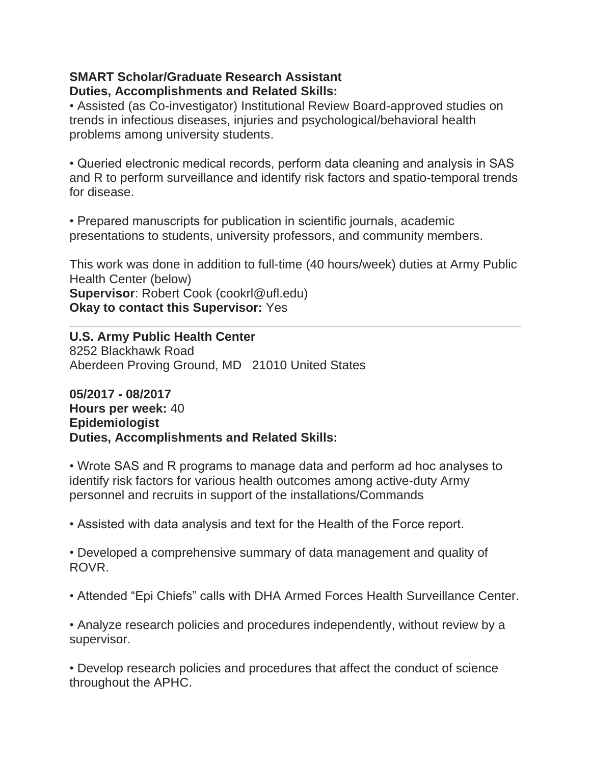#### **SMART Scholar/Graduate Research Assistant Duties, Accomplishments and Related Skills:**

• Assisted (as Co-investigator) Institutional Review Board-approved studies on trends in infectious diseases, injuries and psychological/behavioral health problems among university students.

• Queried electronic medical records, perform data cleaning and analysis in SAS and R to perform surveillance and identify risk factors and spatio-temporal trends for disease.

• Prepared manuscripts for publication in scientific journals, academic presentations to students, university professors, and community members.

This work was done in addition to full-time (40 hours/week) duties at Army Public Health Center (below) **Supervisor**: Robert Cook (cookrl@ufl.edu) **Okay to contact this Supervisor:** Yes

**U.S. Army Public Health Center** 8252 Blackhawk Road Aberdeen Proving Ground, MD 21010 United States

**05/2017 - 08/2017 Hours per week:** 40 **Epidemiologist Duties, Accomplishments and Related Skills:**

• Wrote SAS and R programs to manage data and perform ad hoc analyses to identify risk factors for various health outcomes among active-duty Army personnel and recruits in support of the installations/Commands

• Assisted with data analysis and text for the Health of the Force report.

• Developed a comprehensive summary of data management and quality of ROVR.

• Attended "Epi Chiefs" calls with DHA Armed Forces Health Surveillance Center.

• Analyze research policies and procedures independently, without review by a supervisor.

• Develop research policies and procedures that affect the conduct of science throughout the APHC.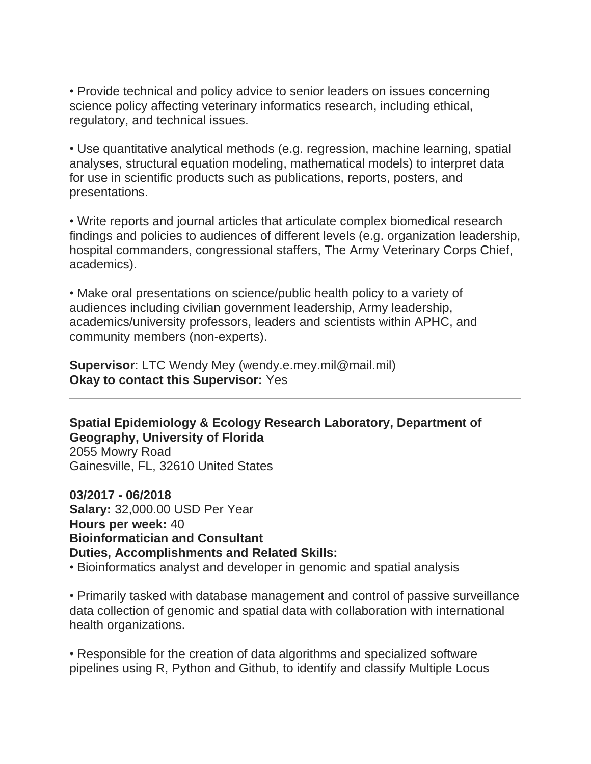• Provide technical and policy advice to senior leaders on issues concerning science policy affecting veterinary informatics research, including ethical, regulatory, and technical issues.

• Use quantitative analytical methods (e.g. regression, machine learning, spatial analyses, structural equation modeling, mathematical models) to interpret data for use in scientific products such as publications, reports, posters, and presentations.

• Write reports and journal articles that articulate complex biomedical research findings and policies to audiences of different levels (e.g. organization leadership, hospital commanders, congressional staffers, The Army Veterinary Corps Chief, academics).

• Make oral presentations on science/public health policy to a variety of audiences including civilian government leadership, Army leadership, academics/university professors, leaders and scientists within APHC, and community members (non-experts).

**Supervisor**: LTC Wendy Mey (wendy.e.mey.mil@mail.mil) **Okay to contact this Supervisor:** Yes

**Spatial Epidemiology & Ecology Research Laboratory, Department of Geography, University of Florida**

2055 Mowry Road Gainesville, FL, 32610 United States

**03/2017 - 06/2018 Salary:** 32,000.00 USD Per Year **Hours per week:** 40 **Bioinformatician and Consultant Duties, Accomplishments and Related Skills:**

• Bioinformatics analyst and developer in genomic and spatial analysis

• Primarily tasked with database management and control of passive surveillance data collection of genomic and spatial data with collaboration with international health organizations.

• Responsible for the creation of data algorithms and specialized software pipelines using R, Python and Github, to identify and classify Multiple Locus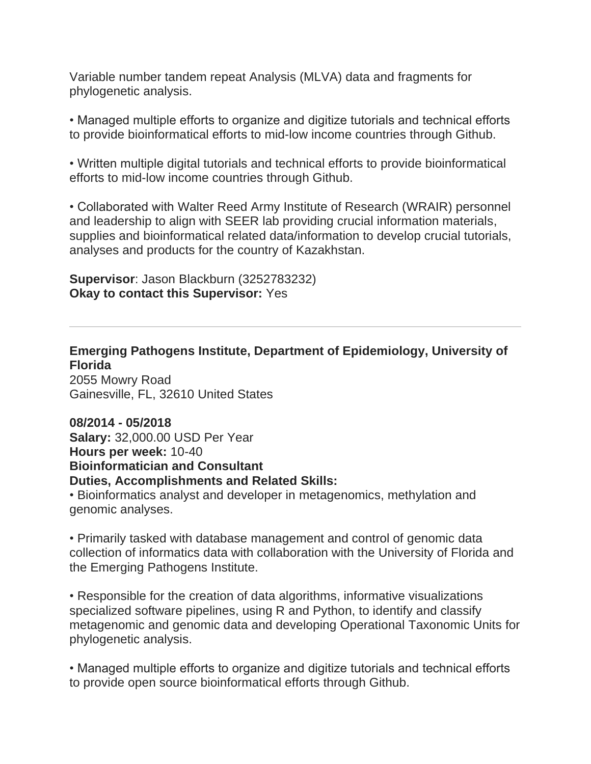Variable number tandem repeat Analysis (MLVA) data and fragments for phylogenetic analysis.

• Managed multiple efforts to organize and digitize tutorials and technical efforts to provide bioinformatical efforts to mid-low income countries through Github.

• Written multiple digital tutorials and technical efforts to provide bioinformatical efforts to mid-low income countries through Github.

• Collaborated with Walter Reed Army Institute of Research (WRAIR) personnel and leadership to align with SEER lab providing crucial information materials, supplies and bioinformatical related data/information to develop crucial tutorials, analyses and products for the country of Kazakhstan.

**Supervisor**: Jason Blackburn (3252783232) **Okay to contact this Supervisor:** Yes

**Emerging Pathogens Institute, Department of Epidemiology, University of Florida**

2055 Mowry Road Gainesville, FL, 32610 United States

**08/2014 - 05/2018 Salary:** 32,000.00 USD Per Year **Hours per week:** 10-40 **Bioinformatician and Consultant Duties, Accomplishments and Related Skills:**

• Bioinformatics analyst and developer in metagenomics, methylation and genomic analyses.

• Primarily tasked with database management and control of genomic data collection of informatics data with collaboration with the University of Florida and the Emerging Pathogens Institute.

• Responsible for the creation of data algorithms, informative visualizations specialized software pipelines, using R and Python, to identify and classify metagenomic and genomic data and developing Operational Taxonomic Units for phylogenetic analysis.

• Managed multiple efforts to organize and digitize tutorials and technical efforts to provide open source bioinformatical efforts through Github.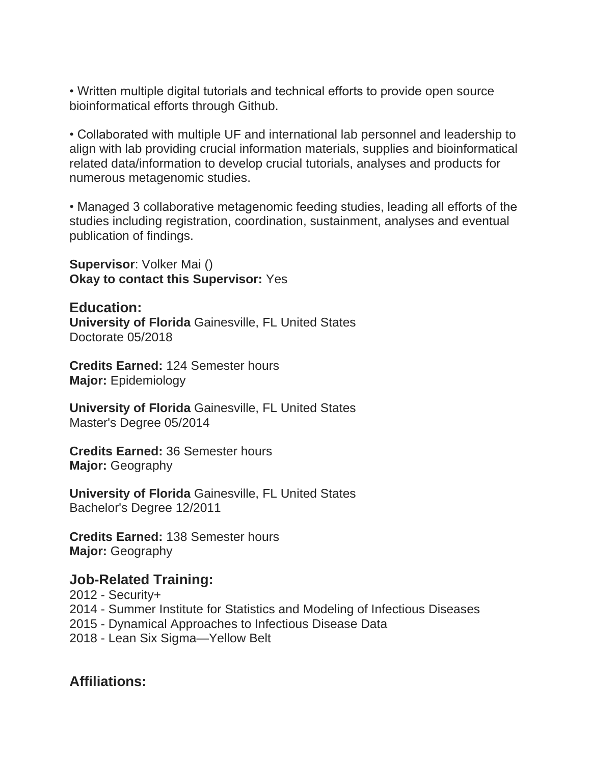• Written multiple digital tutorials and technical efforts to provide open source bioinformatical efforts through Github.

• Collaborated with multiple UF and international lab personnel and leadership to align with lab providing crucial information materials, supplies and bioinformatical related data/information to develop crucial tutorials, analyses and products for numerous metagenomic studies.

• Managed 3 collaborative metagenomic feeding studies, leading all efforts of the studies including registration, coordination, sustainment, analyses and eventual publication of findings.

**Supervisor**: Volker Mai () **Okay to contact this Supervisor:** Yes

**Education: University of Florida** Gainesville, FL United States Doctorate 05/2018

**Credits Earned:** 124 Semester hours **Major:** Epidemiology

**University of Florida** Gainesville, FL United States Master's Degree 05/2014

**Credits Earned:** 36 Semester hours **Major:** Geography

**University of Florida** Gainesville, FL United States Bachelor's Degree 12/2011

**Credits Earned:** 138 Semester hours **Major:** Geography

## **Job-Related Training:**

2012 - Security+ 2014 - Summer Institute for Statistics and Modeling of Infectious Diseases 2015 - Dynamical Approaches to Infectious Disease Data 2018 - Lean Six Sigma—Yellow Belt

## **Affiliations:**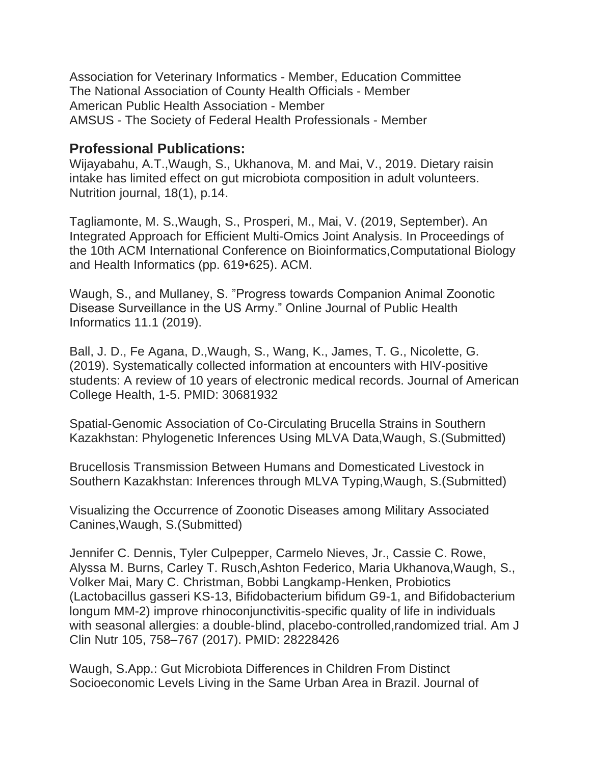Association for Veterinary Informatics - Member, Education Committee The National Association of County Health Officials - Member American Public Health Association - Member AMSUS - The Society of Federal Health Professionals - Member

## **Professional Publications:**

Wijayabahu, A.T.,Waugh, S., Ukhanova, M. and Mai, V., 2019. Dietary raisin intake has limited effect on gut microbiota composition in adult volunteers. Nutrition journal, 18(1), p.14.

Tagliamonte, M. S.,Waugh, S., Prosperi, M., Mai, V. (2019, September). An Integrated Approach for Efficient Multi-Omics Joint Analysis. In Proceedings of the 10th ACM International Conference on Bioinformatics,Computational Biology and Health Informatics (pp. 619•625). ACM.

Waugh, S., and Mullaney, S. "Progress towards Companion Animal Zoonotic Disease Surveillance in the US Army." Online Journal of Public Health Informatics 11.1 (2019).

Ball, J. D., Fe Agana, D.,Waugh, S., Wang, K., James, T. G., Nicolette, G. (2019). Systematically collected information at encounters with HIV-positive students: A review of 10 years of electronic medical records. Journal of American College Health, 1-5. PMID: 30681932

Spatial-Genomic Association of Co-Circulating Brucella Strains in Southern Kazakhstan: Phylogenetic Inferences Using MLVA Data,Waugh, S.(Submitted)

Brucellosis Transmission Between Humans and Domesticated Livestock in Southern Kazakhstan: Inferences through MLVA Typing,Waugh, S.(Submitted)

Visualizing the Occurrence of Zoonotic Diseases among Military Associated Canines,Waugh, S.(Submitted)

Jennifer C. Dennis, Tyler Culpepper, Carmelo Nieves, Jr., Cassie C. Rowe, Alyssa M. Burns, Carley T. Rusch,Ashton Federico, Maria Ukhanova,Waugh, S., Volker Mai, Mary C. Christman, Bobbi Langkamp-Henken, Probiotics (Lactobacillus gasseri KS-13, Bifidobacterium bifidum G9-1, and Bifidobacterium longum MM-2) improve rhinoconjunctivitis-specific quality of life in individuals with seasonal allergies: a double-blind, placebo-controlled,randomized trial. Am J Clin Nutr 105, 758–767 (2017). PMID: 28228426

Waugh, S.App.: Gut Microbiota Differences in Children From Distinct Socioeconomic Levels Living in the Same Urban Area in Brazil. Journal of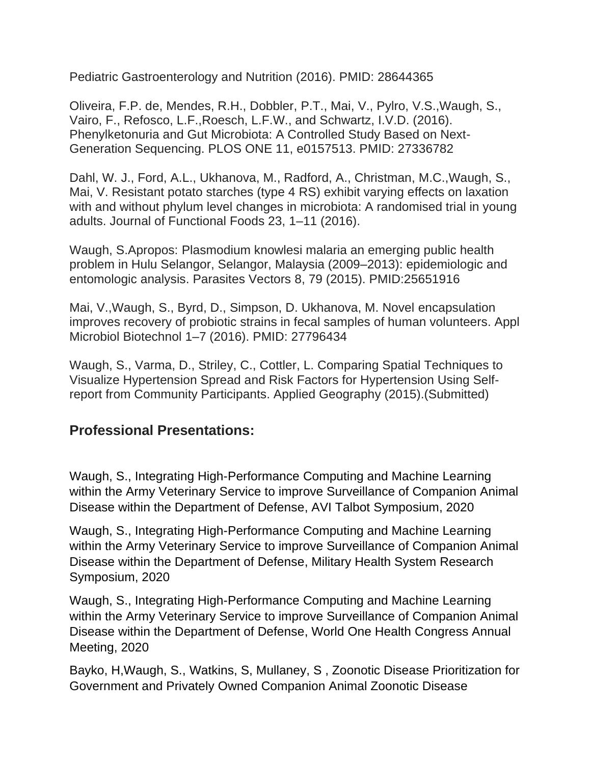Pediatric Gastroenterology and Nutrition (2016). PMID: 28644365

Oliveira, F.P. de, Mendes, R.H., Dobbler, P.T., Mai, V., Pylro, V.S.,Waugh, S., Vairo, F., Refosco, L.F.,Roesch, L.F.W., and Schwartz, I.V.D. (2016). Phenylketonuria and Gut Microbiota: A Controlled Study Based on Next-Generation Sequencing. PLOS ONE 11, e0157513. PMID: 27336782

Dahl, W. J., Ford, A.L., Ukhanova, M., Radford, A., Christman, M.C.,Waugh, S., Mai, V. Resistant potato starches (type 4 RS) exhibit varying effects on laxation with and without phylum level changes in microbiota: A randomised trial in young adults. Journal of Functional Foods 23, 1–11 (2016).

Waugh, S.Apropos: Plasmodium knowlesi malaria an emerging public health problem in Hulu Selangor, Selangor, Malaysia (2009–2013): epidemiologic and entomologic analysis. Parasites Vectors 8, 79 (2015). PMID:25651916

Mai, V.,Waugh, S., Byrd, D., Simpson, D. Ukhanova, M. Novel encapsulation improves recovery of probiotic strains in fecal samples of human volunteers. Appl Microbiol Biotechnol 1–7 (2016). PMID: 27796434

Waugh, S., Varma, D., Striley, C., Cottler, L. Comparing Spatial Techniques to Visualize Hypertension Spread and Risk Factors for Hypertension Using Selfreport from Community Participants. Applied Geography (2015).(Submitted)

# **Professional Presentations:**

Waugh, S., Integrating High-Performance Computing and Machine Learning within the Army Veterinary Service to improve Surveillance of Companion Animal Disease within the Department of Defense, AVI Talbot Symposium, 2020

Waugh, S., Integrating High-Performance Computing and Machine Learning within the Army Veterinary Service to improve Surveillance of Companion Animal Disease within the Department of Defense, Military Health System Research Symposium, 2020

Waugh, S., Integrating High-Performance Computing and Machine Learning within the Army Veterinary Service to improve Surveillance of Companion Animal Disease within the Department of Defense, World One Health Congress Annual Meeting, 2020

Bayko, H,Waugh, S., Watkins, S, Mullaney, S , Zoonotic Disease Prioritization for Government and Privately Owned Companion Animal Zoonotic Disease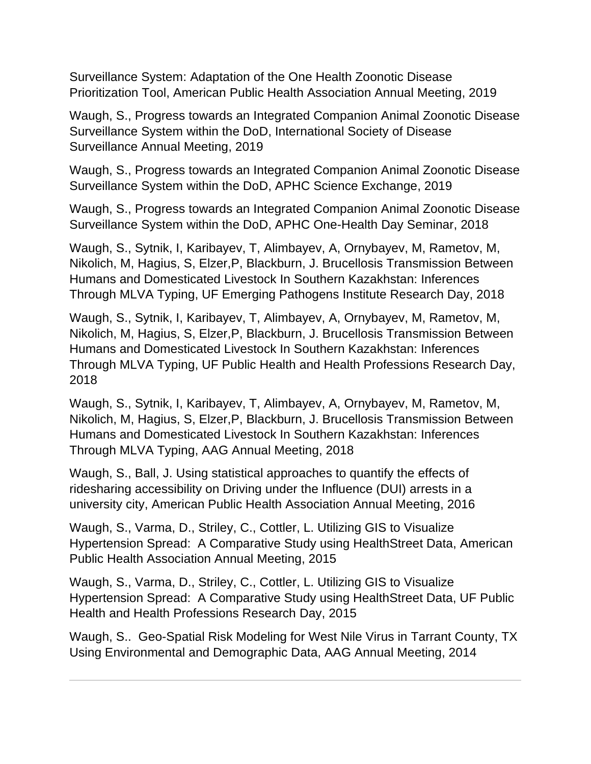Surveillance System: Adaptation of the One Health Zoonotic Disease Prioritization Tool, American Public Health Association Annual Meeting, 2019

Waugh, S., Progress towards an Integrated Companion Animal Zoonotic Disease Surveillance System within the DoD, International Society of Disease Surveillance Annual Meeting, 2019

Waugh, S., Progress towards an Integrated Companion Animal Zoonotic Disease Surveillance System within the DoD, APHC Science Exchange, 2019

Waugh, S., Progress towards an Integrated Companion Animal Zoonotic Disease Surveillance System within the DoD, APHC One-Health Day Seminar, 2018

Waugh, S., Sytnik, I, Karibayev, T, Alimbayev, A, Ornybayev, M, Rametov, M, Nikolich, M, Hagius, S, Elzer,P, Blackburn, J. Brucellosis Transmission Between Humans and Domesticated Livestock In Southern Kazakhstan: Inferences Through MLVA Typing, UF Emerging Pathogens Institute Research Day, 2018

Waugh, S., Sytnik, I, Karibayev, T, Alimbayev, A, Ornybayev, M, Rametov, M, Nikolich, M, Hagius, S, Elzer,P, Blackburn, J. Brucellosis Transmission Between Humans and Domesticated Livestock In Southern Kazakhstan: Inferences Through MLVA Typing, UF Public Health and Health Professions Research Day, 2018

Waugh, S., Sytnik, I, Karibayev, T, Alimbayev, A, Ornybayev, M, Rametov, M, Nikolich, M, Hagius, S, Elzer,P, Blackburn, J. Brucellosis Transmission Between Humans and Domesticated Livestock In Southern Kazakhstan: Inferences Through MLVA Typing, AAG Annual Meeting, 2018

Waugh, S., Ball, J. Using statistical approaches to quantify the effects of ridesharing accessibility on Driving under the Influence (DUI) arrests in a university city, American Public Health Association Annual Meeting, 2016

Waugh, S., Varma, D., Striley, C., Cottler, L. Utilizing GIS to Visualize Hypertension Spread: A Comparative Study using HealthStreet Data, American Public Health Association Annual Meeting, 2015

Waugh, S., Varma, D., Striley, C., Cottler, L. Utilizing GIS to Visualize Hypertension Spread: A Comparative Study using HealthStreet Data, UF Public Health and Health Professions Research Day, 2015

Waugh, S.. Geo-Spatial Risk Modeling for West Nile Virus in Tarrant County, TX Using Environmental and Demographic Data, AAG Annual Meeting, 2014